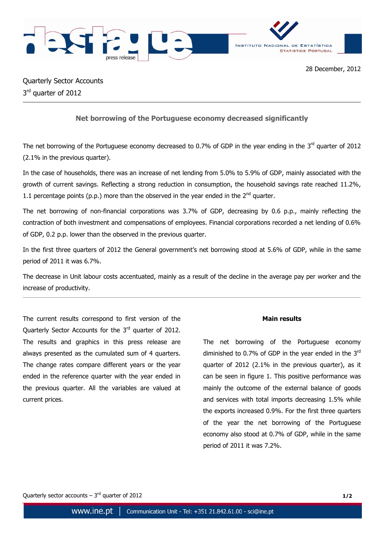



Quarterly Sector Accounts 3<sup>rd</sup> quarter of 2012

## **Net borrowing of the Portuguese economy decreased significantly**

The net borrowing of the Portuguese economy decreased to 0.7% of GDP in the year ending in the 3<sup>rd</sup> quarter of 2012 (2.1% in the previous quarter).

In the case of households, there was an increase of net lending from 5.0% to 5.9% of GDP, mainly associated with the growth of current savings. Reflecting a strong reduction in consumption, the household savings rate reached 11.2%, 1.1 percentage points (p.p.) more than the observed in the year ended in the  $2^{nd}$  quarter.

The net borrowing of non-financial corporations was 3.7% of GDP, decreasing by 0.6 p.p., mainly reflecting the contraction of both investment and compensations of employees. Financial corporations recorded a net lending of 0.6% of GDP, 0.2 p.p. lower than the observed in the previous quarter.

In the first three quarters of 2012 the General government's net borrowing stood at 5.6% of GDP, while in the same period of 2011 it was 6.7%.

The decrease in Unit labour costs accentuated, mainly as a result of the decline in the average pay per worker and the increase of productivity.

The current results correspond to first version of the Quarterly Sector Accounts for the 3<sup>rd</sup> quarter of 2012. The results and graphics in this press release are always presented as the cumulated sum of 4 quarters. The change rates compare different years or the year ended in the reference quarter with the year ended in the previous quarter. All the variables are valued at current prices.

## **Main results**

The net borrowing of the Portuguese economy diminished to 0.7% of GDP in the year ended in the  $3^{rd}$ quarter of 2012 (2.1% in the previous quarter), as it can be seen in figure 1. This positive performance was mainly the outcome of the external balance of goods and services with total imports decreasing 1.5% while the exports increased 0.9%. For the first three quarters of the year the net borrowing of the Portuguese economy also stood at 0.7% of GDP, while in the same period of 2011 it was 7.2%.

Quarterly sector accounts  $-3<sup>rd</sup>$  quarter of 2012 **1/2**